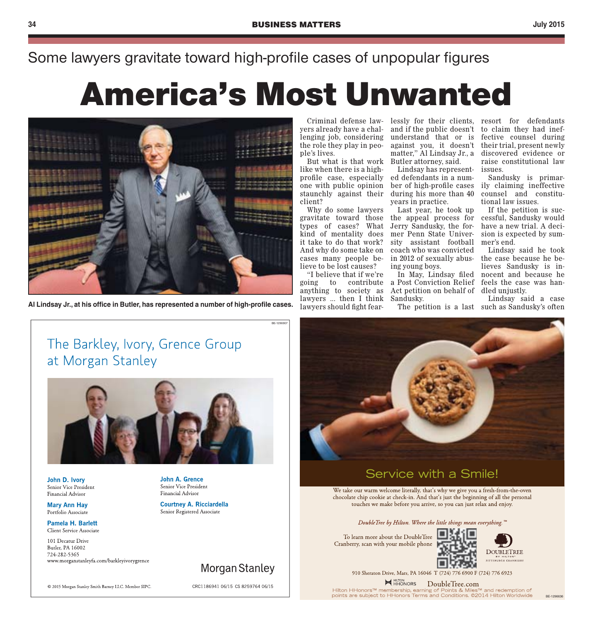#### Some lawyers gravitate toward high-profile cases of unpopular figures

# America's Most Unwanted

BE-1296907



Al Lindsay Jr., at his office in Butler, has represented a number of high-profile cases.

lenging job, considering the role they play in people's lives.

But what is that work Butler attorney, said. like when there is a highprofile case, especially one with public opinion client?

Why do some lawyers gravitate toward those the appeal process for types of cases? What Jerry Sandusky, the forkind of mentality does mer Penn State Univerit take to do that work? And why do some take on coach who was convicted cases many people believe to be lost causes?

"I believe that if we're going to contribute a Post Conviction Relief anything to society as lawyers ... then I think lawyers should fight fear-

Criminal defense law-lessly for their clients, resort for defendants yers already have a chal-and if the public doesn't to claim they had inefunderstand that or is against you, it doesn't matter," Al Lindsay Jr., a

staunchly against their during his more than 40 Lindsay has represented defendants in a number of high-profile cases years in practice.

Last year, he took up sity assistant football in 2012 of sexually abusing young boys.

In May, Lindsay filed Act petition on behalf of Sandusky.

The petition is a last such as Sandusky's often

fective counsel during their trial, present newly discovered evidence or raise constitutional law issues.

Sandusky is primarily claiming ineffective counsel and constitutional law issues.

If the petition is successful, Sandusky would have a new trial. A decision is expected by summer's end.

Lindsay said he took the case because he believes Sandusky is innocent and because he feels the case was handled unjustly.

Lindsay said a case

### The Barkley, Ivory, Grence Group at Morgan Stanley



John D. Ivory Senior Vice President Financial Advisor

**Mary Ann Hay** Portfolio Associate

Pamela H. Barlett Client Service Associate

101 Decatur Drive Butler, PA 16002 724-282-5365 www.morganstanleyfa.com/barkleyivorygrence

© 2015 Morgan Stanley Smith Barney LLC, Member SIPC,

John A. Grence Senior Vice President Financial Advisor

**Courtney A. Ricciardella** Senior Registered Associate

Morgan Stanley

CRC1186941 06/15 CS 8259764 06/15

# Service with a Smile!

We take our warm welcome literally, that's why we give you a fresh-from-the-oven chocolate chip cookie at check-in. And that's just the beginning of all the personal touches we make before you arrive, so you can just relax and enjoy.

DoubleTree by Hilton. Where the little things mean everything.

To learn more about the DoubleTree Cranberry, scan with your mobile phone



BE-1296636

910 Sheraton Drive, Mars, PA 16046 T (724) 776 6900 F (724) 776 6923

**HELTON** DoubleTree.com

Hilton HHonors™ membership, earning of Points & Miles™ and redemption of<br>points are subject to HHonors Terms and Conditions. ©2014 Hilton Worldwide